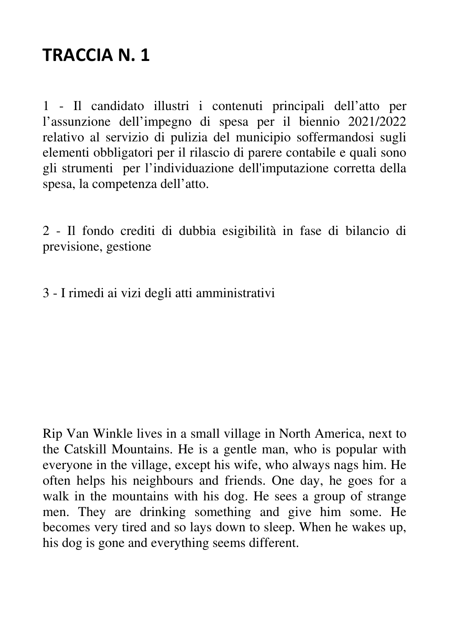1 - Il candidato illustri i contenuti principali dell'atto per l'assunzione dell'impegno di spesa per il biennio 2021/2022 relativo al servizio di pulizia del municipio soffermandosi sugli elementi obbligatori per il rilascio di parere contabile e quali sono gli strumenti per l'individuazione dell'imputazione corretta della spesa, la competenza dell'atto.

2 - Il fondo crediti di dubbia esigibilità in fase di bilancio di previsione, gestione

3 - I rimedi ai vizi degli atti amministrativi

Rip Van Winkle lives in a small village in North America, next to the Catskill Mountains. He is a gentle man, who is popular with everyone in the village, except his wife, who always nags him. He often helps his neighbours and friends. One day, he goes for a walk in the mountains with his dog. He sees a group of strange men. They are drinking something and give him some. He becomes very tired and so lays down to sleep. When he wakes up, his dog is gone and everything seems different.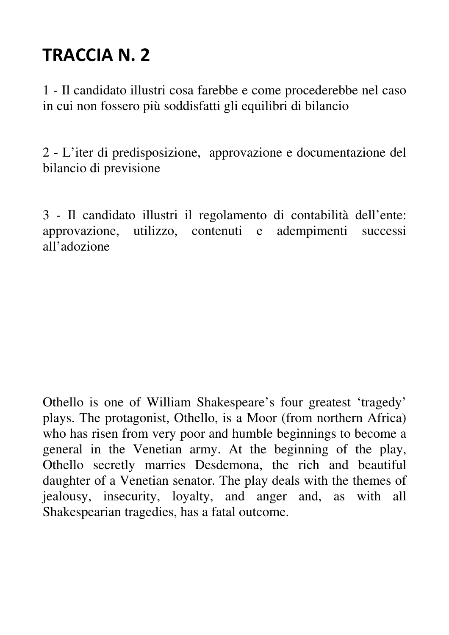1 - Il candidato illustri cosa farebbe e come procederebbe nel caso in cui non fossero più soddisfatti gli equilibri di bilancio

2 - L'iter di predisposizione, approvazione e documentazione del bilancio di previsione

3 - Il candidato illustri il regolamento di contabilità dell'ente: approvazione, utilizzo, contenuti e adempimenti successi all'adozione

Othello is one of William Shakespeare's four greatest 'tragedy' plays. The protagonist, Othello, is a Moor (from northern Africa) who has risen from very poor and humble beginnings to become a general in the Venetian army. At the beginning of the play, Othello secretly marries Desdemona, the rich and beautiful daughter of a Venetian senator. The play deals with the themes of jealousy, insecurity, loyalty, and anger and, as with all Shakespearian tragedies, has a fatal outcome.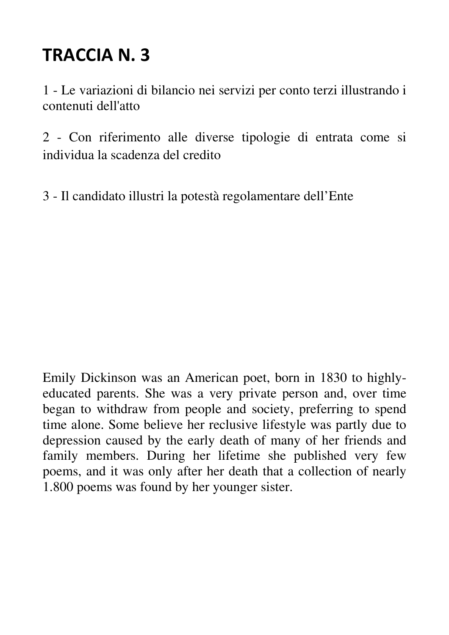1 - Le variazioni di bilancio nei servizi per conto terzi illustrando i contenuti dell'atto

2 - Con riferimento alle diverse tipologie di entrata come si individua la scadenza del credito

3 - Il candidato illustri la potestà regolamentare dell'Ente

Emily Dickinson was an American poet, born in 1830 to highlyeducated parents. She was a very private person and, over time began to withdraw from people and society, preferring to spend time alone. Some believe her reclusive lifestyle was partly due to depression caused by the early death of many of her friends and family members. During her lifetime she published very few poems, and it was only after her death that a collection of nearly 1.800 poems was found by her younger sister.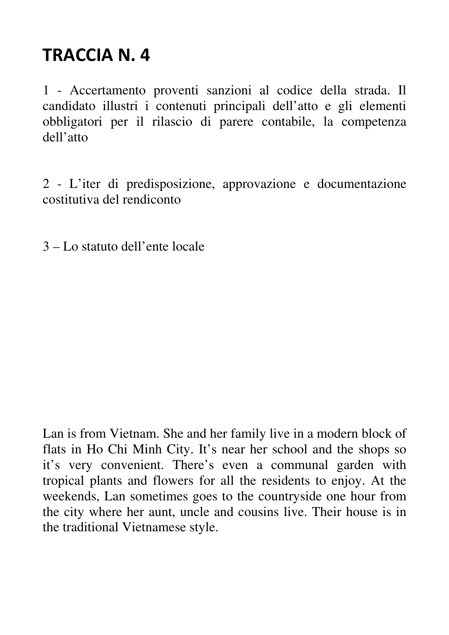1 - Accertamento proventi sanzioni al codice della strada. Il candidato illustri i contenuti principali dell'atto e gli elementi obbligatori per il rilascio di parere contabile, la competenza dell'atto

2 - L'iter di predisposizione, approvazione e documentazione costitutiva del rendiconto

3 – Lo statuto dell'ente locale

Lan is from Vietnam. She and her family live in a modern block of flats in Ho Chi Minh City. It's near her school and the shops so it's very convenient. There's even a communal garden with tropical plants and flowers for all the residents to enjoy. At the weekends, Lan sometimes goes to the countryside one hour from the city where her aunt, uncle and cousins live. Their house is in the traditional Vietnamese style.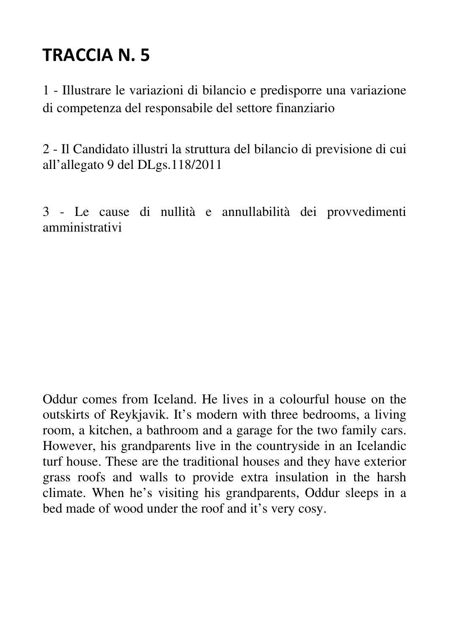1 - Illustrare le variazioni di bilancio e predisporre una variazione di competenza del responsabile del settore finanziario

2 - Il Candidato illustri la struttura del bilancio di previsione di cui all'allegato 9 del DLgs.118/2011

3 - Le cause di nullità e annullabilità dei provvedimenti amministrativi

Oddur comes from Iceland. He lives in a colourful house on the outskirts of Reykjavik. It's modern with three bedrooms, a living room, a kitchen, a bathroom and a garage for the two family cars. However, his grandparents live in the countryside in an Icelandic turf house. These are the traditional houses and they have exterior grass roofs and walls to provide extra insulation in the harsh climate. When he's visiting his grandparents, Oddur sleeps in a bed made of wood under the roof and it's very cosy.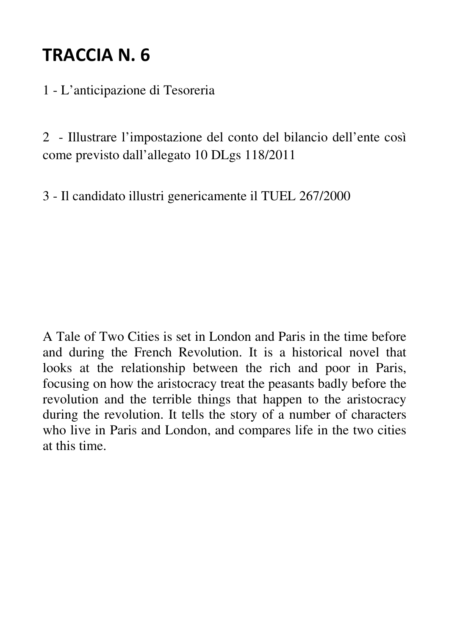1 - L'anticipazione di Tesoreria

2 - Illustrare l'impostazione del conto del bilancio dell'ente così come previsto dall'allegato 10 DLgs 118/2011

3 - Il candidato illustri genericamente il TUEL 267/2000

A Tale of Two Cities is set in London and Paris in the time before and during the French Revolution. It is a historical novel that looks at the relationship between the rich and poor in Paris, focusing on how the aristocracy treat the peasants badly before the revolution and the terrible things that happen to the aristocracy during the revolution. It tells the story of a number of characters who live in Paris and London, and compares life in the two cities at this time.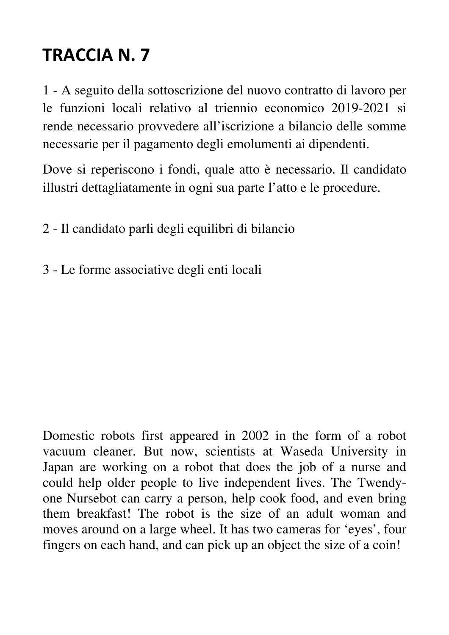1 - A seguito della sottoscrizione del nuovo contratto di lavoro per le funzioni locali relativo al triennio economico 2019-2021 si rende necessario provvedere all'iscrizione a bilancio delle somme necessarie per il pagamento degli emolumenti ai dipendenti.

Dove si reperiscono i fondi, quale atto è necessario. Il candidato illustri dettagliatamente in ogni sua parte l'atto e le procedure.

2 - Il candidato parli degli equilibri di bilancio

3 - Le forme associative degli enti locali

Domestic robots first appeared in 2002 in the form of a robot vacuum cleaner. But now, scientists at Waseda University in Japan are working on a robot that does the job of a nurse and could help older people to live independent lives. The Twendyone Nursebot can carry a person, help cook food, and even bring them breakfast! The robot is the size of an adult woman and moves around on a large wheel. It has two cameras for 'eyes', four fingers on each hand, and can pick up an object the size of a coin!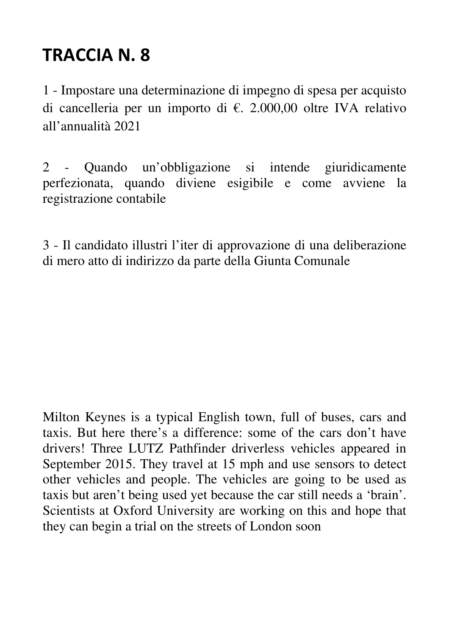1 - Impostare una determinazione di impegno di spesa per acquisto di cancelleria per un importo di €. 2.000,00 oltre IVA relativo all'annualità 2021

2 - Quando un'obbligazione si intende giuridicamente perfezionata, quando diviene esigibile e come avviene la registrazione contabile

3 - Il candidato illustri l'iter di approvazione di una deliberazione di mero atto di indirizzo da parte della Giunta Comunale

Milton Keynes is a typical English town, full of buses, cars and taxis. But here there's a difference: some of the cars don't have drivers! Three LUTZ Pathfinder driverless vehicles appeared in September 2015. They travel at 15 mph and use sensors to detect other vehicles and people. The vehicles are going to be used as taxis but aren't being used yet because the car still needs a 'brain'. Scientists at Oxford University are working on this and hope that they can begin a trial on the streets of London soon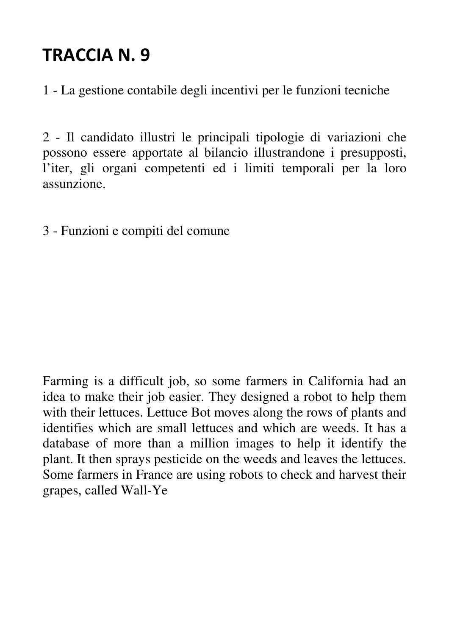1 - La gestione contabile degli incentivi per le funzioni tecniche

2 - Il candidato illustri le principali tipologie di variazioni che possono essere apportate al bilancio illustrandone i presupposti, l'iter, gli organi competenti ed i limiti temporali per la loro assunzione.

3 - Funzioni e compiti del comune

Farming is a difficult job, so some farmers in California had an idea to make their job easier. They designed a robot to help them with their lettuces. Lettuce Bot moves along the rows of plants and identifies which are small lettuces and which are weeds. It has a database of more than a million images to help it identify the plant. It then sprays pesticide on the weeds and leaves the lettuces. Some farmers in France are using robots to check and harvest their grapes, called Wall-Ye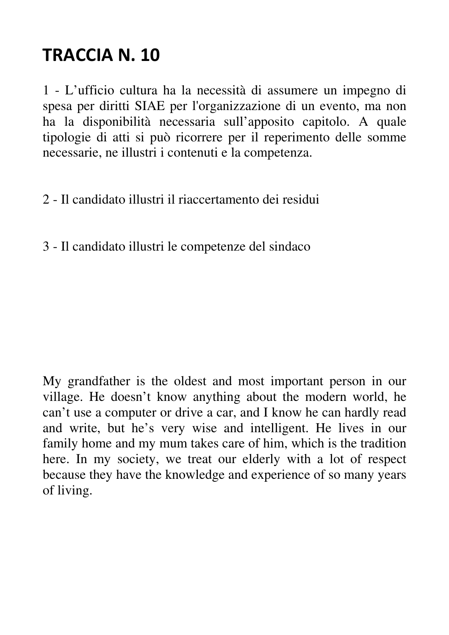1 - L'ufficio cultura ha la necessità di assumere un impegno di spesa per diritti SIAE per l'organizzazione di un evento, ma non ha la disponibilità necessaria sull'apposito capitolo. A quale tipologie di atti si può ricorrere per il reperimento delle somme necessarie, ne illustri i contenuti e la competenza.

- 2 Il candidato illustri il riaccertamento dei residui
- 3 Il candidato illustri le competenze del sindaco

My grandfather is the oldest and most important person in our village. He doesn't know anything about the modern world, he can't use a computer or drive a car, and I know he can hardly read and write, but he's very wise and intelligent. He lives in our family home and my mum takes care of him, which is the tradition here. In my society, we treat our elderly with a lot of respect because they have the knowledge and experience of so many years of living.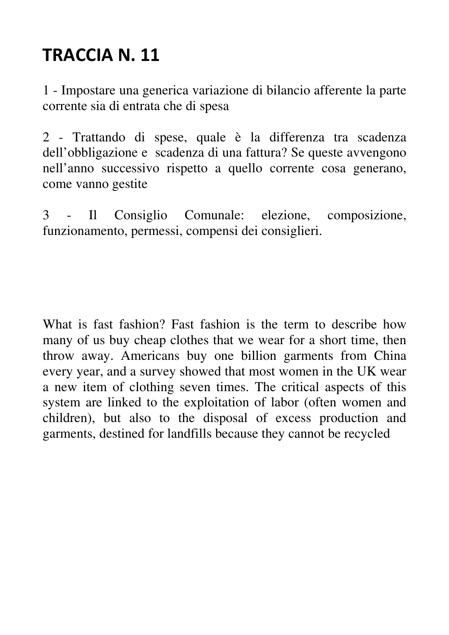1 - Impostare una generica variazione di bilancio afferente la parte corrente sia di entrata che di spesa

2 - Trattando di spese, quale è la differenza tra scadenza dell'obbligazione e scadenza di una fattura? Se queste avvengono nell'anno successivo rispetto a quello corrente cosa generano, come vanno gestite

3 - Il Consiglio Comunale: elezione, composizione, funzionamento, permessi, compensi dei consiglieri.

What is fast fashion? Fast fashion is the term to describe how many of us buy cheap clothes that we wear for a short time, then throw away. Americans buy one billion garments from China every year, and a survey showed that most women in the UK wear a new item of clothing seven times. The critical aspects of this system are linked to the exploitation of labor (often women and children), but also to the disposal of excess production and garments, destined for landfills because they cannot be recycled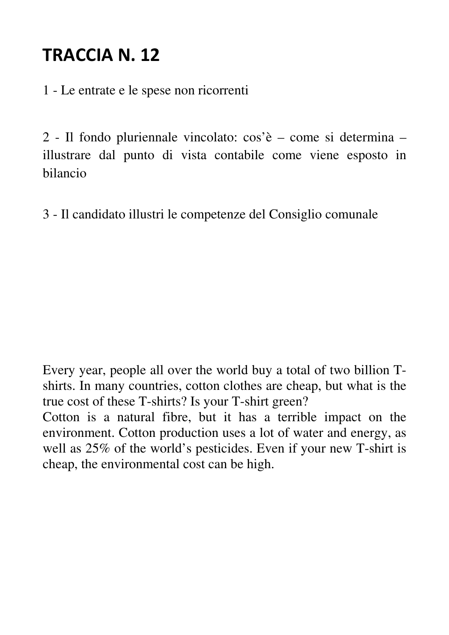1 - Le entrate e le spese non ricorrenti

2 - Il fondo pluriennale vincolato: cos'è – come si determina – illustrare dal punto di vista contabile come viene esposto in bilancio

3 - Il candidato illustri le competenze del Consiglio comunale

Every year, people all over the world buy a total of two billion Tshirts. In many countries, cotton clothes are cheap, but what is the true cost of these T-shirts? Is your T-shirt green?

Cotton is a natural fibre, but it has a terrible impact on the environment. Cotton production uses a lot of water and energy, as well as 25% of the world's pesticides. Even if your new T-shirt is cheap, the environmental cost can be high.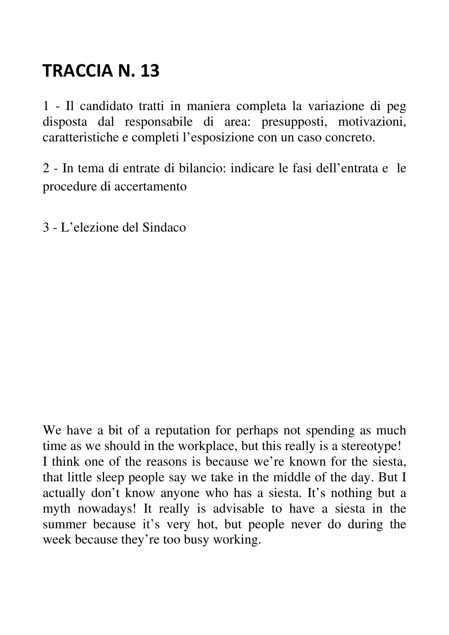1 - Il candidato tratti in maniera completa la variazione di peg disposta dal responsabile di area: presupposti, motivazioni, caratteristiche e completi l'esposizione con un caso concreto.

2 - In tema di entrate di bilancio: indicare le fasi dell'entrata e le procedure di accertamento

3 - L'elezione del Sindaco

We have a bit of a reputation for perhaps not spending as much time as we should in the workplace, but this really is a stereotype! I think one of the reasons is because we're known for the siesta, that little sleep people say we take in the middle of the day. But I actually don't know anyone who has a siesta. It's nothing but a myth nowadays! It really is advisable to have a siesta in the summer because it's very hot, but people never do during the week because they're too busy working.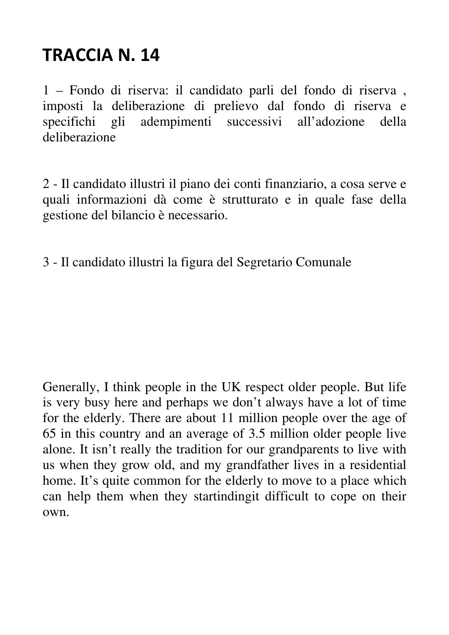1 – Fondo di riserva: il candidato parli del fondo di riserva , imposti la deliberazione di prelievo dal fondo di riserva e specifichi gli adempimenti successivi all'adozione della deliberazione

2 - Il candidato illustri il piano dei conti finanziario, a cosa serve e quali informazioni dà come è strutturato e in quale fase della gestione del bilancio è necessario.

3 - Il candidato illustri la figura del Segretario Comunale

Generally, I think people in the UK respect older people. But life is very busy here and perhaps we don't always have a lot of time for the elderly. There are about 11 million people over the age of 65 in this country and an average of 3.5 million older people live alone. It isn't really the tradition for our grandparents to live with us when they grow old, and my grandfather lives in a residential home. It's quite common for the elderly to move to a place which can help them when they startindingit difficult to cope on their own.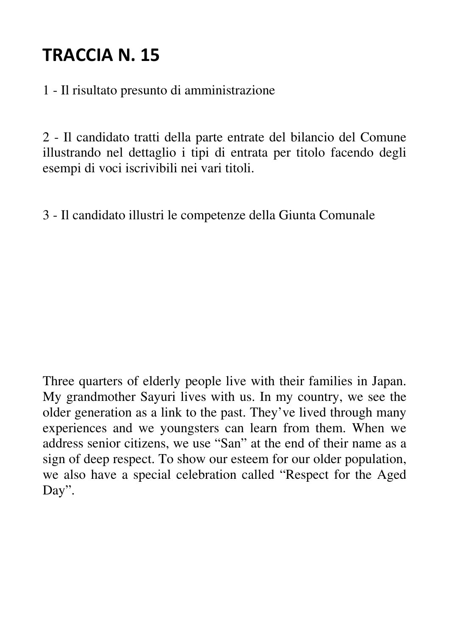1 - Il risultato presunto di amministrazione

2 - Il candidato tratti della parte entrate del bilancio del Comune illustrando nel dettaglio i tipi di entrata per titolo facendo degli esempi di voci iscrivibili nei vari titoli.

3 - Il candidato illustri le competenze della Giunta Comunale

Three quarters of elderly people live with their families in Japan. My grandmother Sayuri lives with us. In my country, we see the older generation as a link to the past. They've lived through many experiences and we youngsters can learn from them. When we address senior citizens, we use "San" at the end of their name as a sign of deep respect. To show our esteem for our older population, we also have a special celebration called "Respect for the Aged Day".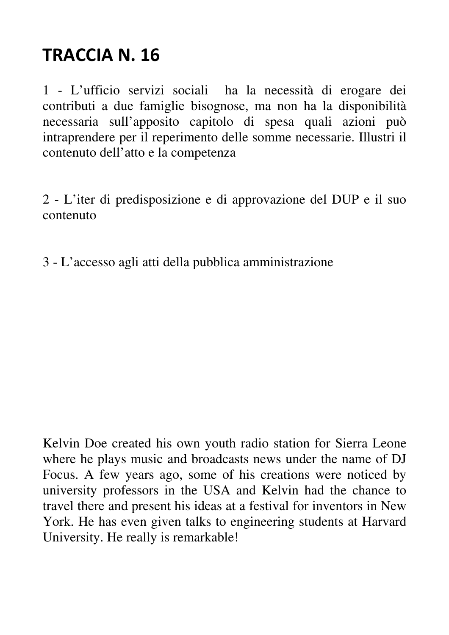1 - L'ufficio servizi sociali ha la necessità di erogare dei contributi a due famiglie bisognose, ma non ha la disponibilità necessaria sull'apposito capitolo di spesa quali azioni può intraprendere per il reperimento delle somme necessarie. Illustri il contenuto dell'atto e la competenza

2 - L'iter di predisposizione e di approvazione del DUP e il suo contenuto

3 - L'accesso agli atti della pubblica amministrazione

Kelvin Doe created his own youth radio station for Sierra Leone where he plays music and broadcasts news under the name of DJ Focus. A few years ago, some of his creations were noticed by university professors in the USA and Kelvin had the chance to travel there and present his ideas at a festival for inventors in New York. He has even given talks to engineering students at Harvard University. He really is remarkable!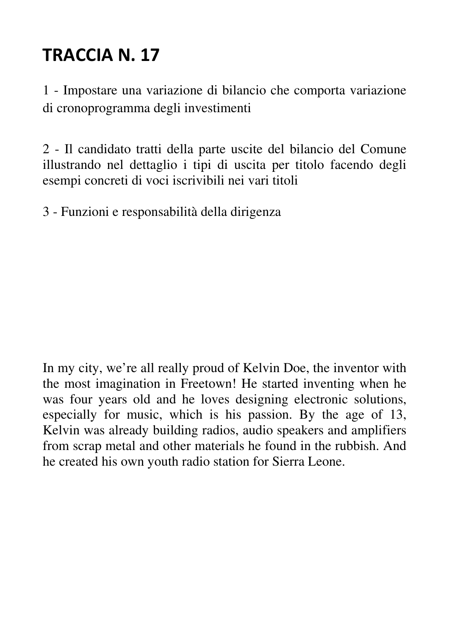1 - Impostare una variazione di bilancio che comporta variazione di cronoprogramma degli investimenti

2 - Il candidato tratti della parte uscite del bilancio del Comune illustrando nel dettaglio i tipi di uscita per titolo facendo degli esempi concreti di voci iscrivibili nei vari titoli

3 - Funzioni e responsabilità della dirigenza

In my city, we're all really proud of Kelvin Doe, the inventor with the most imagination in Freetown! He started inventing when he was four years old and he loves designing electronic solutions, especially for music, which is his passion. By the age of 13, Kelvin was already building radios, audio speakers and amplifiers from scrap metal and other materials he found in the rubbish. And he created his own youth radio station for Sierra Leone.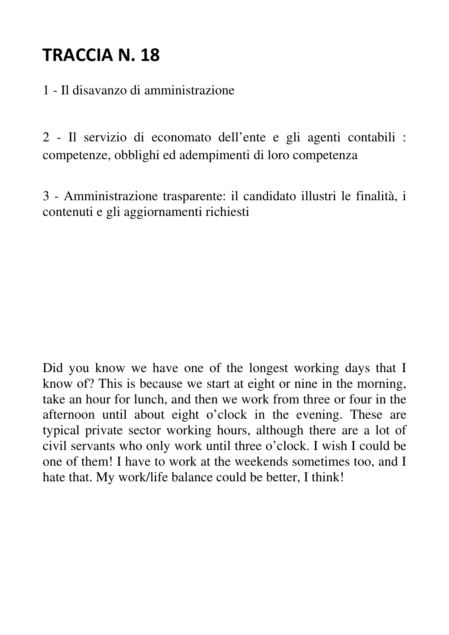1 - Il disavanzo di amministrazione

2 - Il servizio di economato dell'ente e gli agenti contabili : competenze, obblighi ed adempimenti di loro competenza

3 - Amministrazione trasparente: il candidato illustri le finalità, i contenuti e gli aggiornamenti richiesti

Did you know we have one of the longest working days that I know of? This is because we start at eight or nine in the morning, take an hour for lunch, and then we work from three or four in the afternoon until about eight o'clock in the evening. These are typical private sector working hours, although there are a lot of civil servants who only work until three o'clock. I wish I could be one of them! I have to work at the weekends sometimes too, and I hate that. My work/life balance could be better, I think!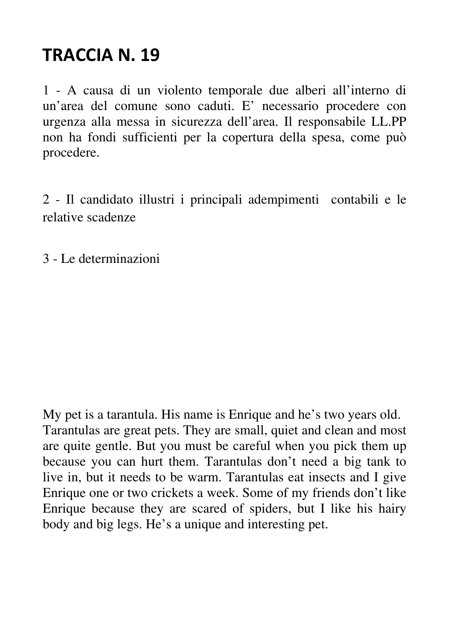1 - A causa di un violento temporale due alberi all'interno di un'area del comune sono caduti. E' necessario procedere con urgenza alla messa in sicurezza dell'area. Il responsabile LL.PP non ha fondi sufficienti per la copertura della spesa, come può procedere.

2 - Il candidato illustri i principali adempimenti contabili e le relative scadenze

3 - Le determinazioni

My pet is a tarantula. His name is Enrique and he's two years old. Tarantulas are great pets. They are small, quiet and clean and most are quite gentle. But you must be careful when you pick them up because you can hurt them. Tarantulas don't need a big tank to live in, but it needs to be warm. Tarantulas eat insects and I give Enrique one or two crickets a week. Some of my friends don't like Enrique because they are scared of spiders, but I like his hairy body and big legs. He's a unique and interesting pet.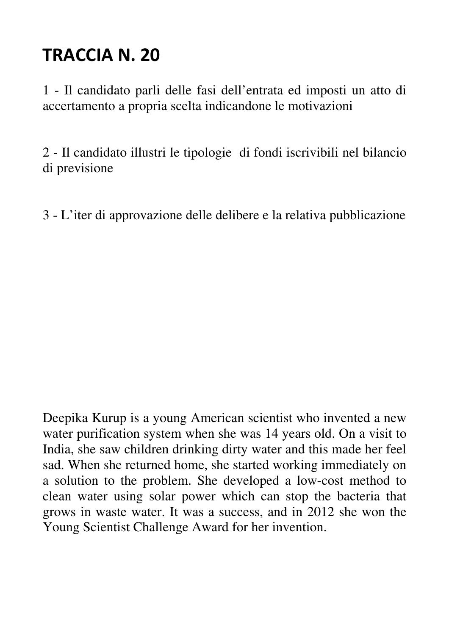1 - Il candidato parli delle fasi dell'entrata ed imposti un atto di accertamento a propria scelta indicandone le motivazioni

2 - Il candidato illustri le tipologie di fondi iscrivibili nel bilancio di previsione

3 - L'iter di approvazione delle delibere e la relativa pubblicazione

Deepika Kurup is a young American scientist who invented a new water purification system when she was 14 years old. On a visit to India, she saw children drinking dirty water and this made her feel sad. When she returned home, she started working immediately on a solution to the problem. She developed a low-cost method to clean water using solar power which can stop the bacteria that grows in waste water. It was a success, and in 2012 she won the Young Scientist Challenge Award for her invention.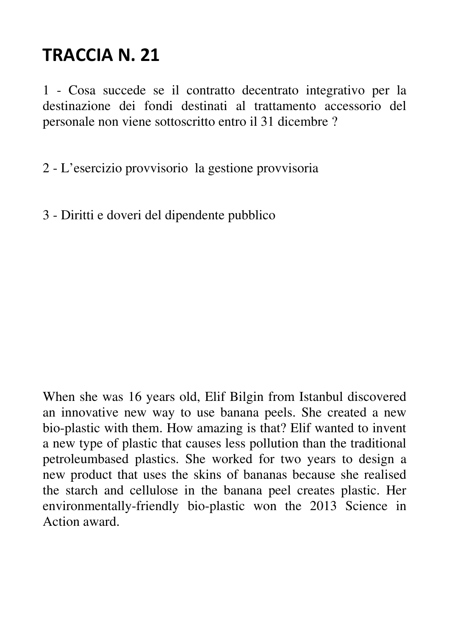1 - Cosa succede se il contratto decentrato integrativo per la destinazione dei fondi destinati al trattamento accessorio del personale non viene sottoscritto entro il 31 dicembre ?

2 - L'esercizio provvisorio la gestione provvisoria

3 - Diritti e doveri del dipendente pubblico

When she was 16 years old, Elif Bilgin from Istanbul discovered an innovative new way to use banana peels. She created a new bio-plastic with them. How amazing is that? Elif wanted to invent a new type of plastic that causes less pollution than the traditional petroleumbased plastics. She worked for two years to design a new product that uses the skins of bananas because she realised the starch and cellulose in the banana peel creates plastic. Her environmentally-friendly bio-plastic won the 2013 Science in Action award.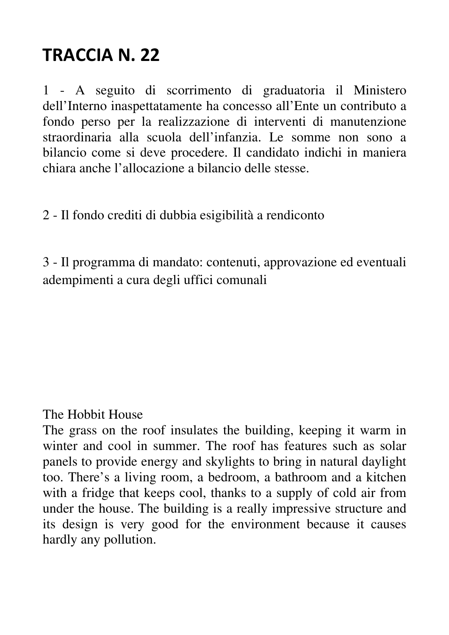1 - A seguito di scorrimento di graduatoria il Ministero dell'Interno inaspettatamente ha concesso all'Ente un contributo a fondo perso per la realizzazione di interventi di manutenzione straordinaria alla scuola dell'infanzia. Le somme non sono a bilancio come si deve procedere. Il candidato indichi in maniera chiara anche l'allocazione a bilancio delle stesse.

2 - Il fondo crediti di dubbia esigibilità a rendiconto

3 - Il programma di mandato: contenuti, approvazione ed eventuali adempimenti a cura degli uffici comunali

#### The Hobbit House

The grass on the roof insulates the building, keeping it warm in winter and cool in summer. The roof has features such as solar panels to provide energy and skylights to bring in natural daylight too. There's a living room, a bedroom, a bathroom and a kitchen with a fridge that keeps cool, thanks to a supply of cold air from under the house. The building is a really impressive structure and its design is very good for the environment because it causes hardly any pollution.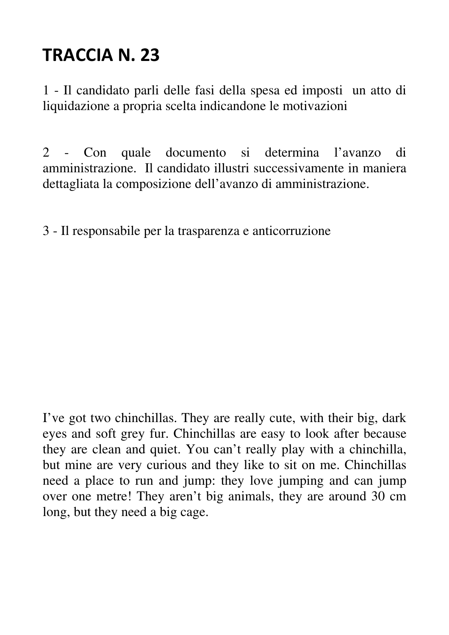1 - Il candidato parli delle fasi della spesa ed imposti un atto di liquidazione a propria scelta indicandone le motivazioni

2 - Con quale documento si determina l'avanzo di amministrazione. Il candidato illustri successivamente in maniera dettagliata la composizione dell'avanzo di amministrazione.

3 - Il responsabile per la trasparenza e anticorruzione

I've got two chinchillas. They are really cute, with their big, dark eyes and soft grey fur. Chinchillas are easy to look after because they are clean and quiet. You can't really play with a chinchilla, but mine are very curious and they like to sit on me. Chinchillas need a place to run and jump: they love jumping and can jump over one metre! They aren't big animals, they are around 30 cm long, but they need a big cage.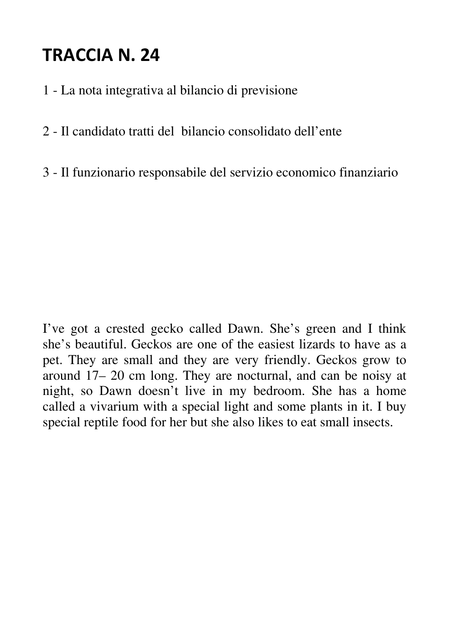- 1 La nota integrativa al bilancio di previsione
- 2 Il candidato tratti del bilancio consolidato dell'ente
- 3 Il funzionario responsabile del servizio economico finanziario

I've got a crested gecko called Dawn. She's green and I think she's beautiful. Geckos are one of the easiest lizards to have as a pet. They are small and they are very friendly. Geckos grow to around 17– 20 cm long. They are nocturnal, and can be noisy at night, so Dawn doesn't live in my bedroom. She has a home called a vivarium with a special light and some plants in it. I buy special reptile food for her but she also likes to eat small insects.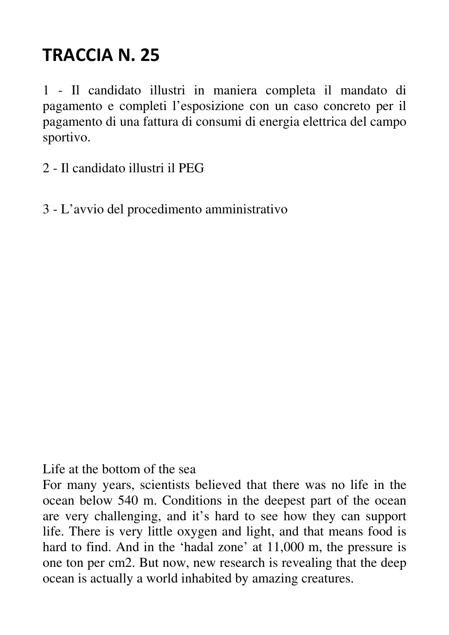1 - Il candidato illustri in maniera completa il mandato di pagamento e completi l'esposizione con un caso concreto per il pagamento di una fattura di consumi di energia elettrica del campo sportivo.

- 2 Il candidato illustri il PEG
- 3 L'avvio del procedimento amministrativo

Life at the bottom of the sea

For many years, scientists believed that there was no life in the ocean below 540 m. Conditions in the deepest part of the ocean are very challenging, and it's hard to see how they can support life. There is very little oxygen and light, and that means food is hard to find. And in the 'hadal zone' at 11,000 m, the pressure is one ton per cm2. But now, new research is revealing that the deep ocean is actually a world inhabited by amazing creatures.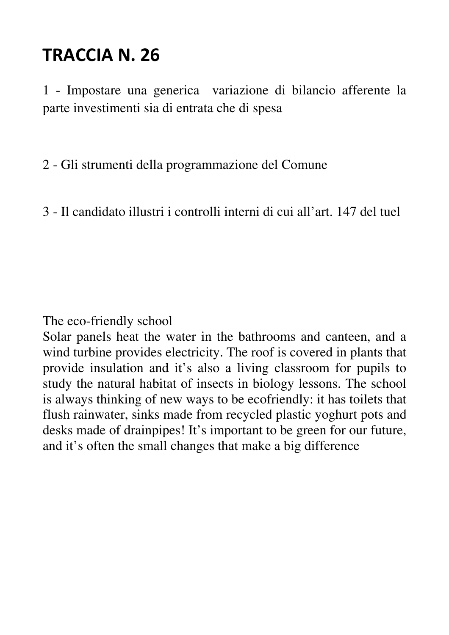1 - Impostare una generica variazione di bilancio afferente la parte investimenti sia di entrata che di spesa

2 - Gli strumenti della programmazione del Comune

3 - Il candidato illustri i controlli interni di cui all'art. 147 del tuel

The eco-friendly school

Solar panels heat the water in the bathrooms and canteen, and a wind turbine provides electricity. The roof is covered in plants that provide insulation and it's also a living classroom for pupils to study the natural habitat of insects in biology lessons. The school is always thinking of new ways to be ecofriendly: it has toilets that flush rainwater, sinks made from recycled plastic yoghurt pots and desks made of drainpipes! It's important to be green for our future, and it's often the small changes that make a big difference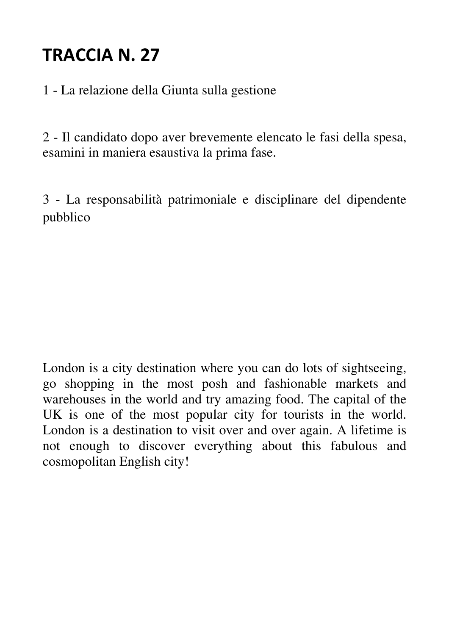1 - La relazione della Giunta sulla gestione

2 - Il candidato dopo aver brevemente elencato le fasi della spesa, esamini in maniera esaustiva la prima fase.

3 - La responsabilità patrimoniale e disciplinare del dipendente pubblico

London is a city destination where you can do lots of sightseeing, go shopping in the most posh and fashionable markets and warehouses in the world and try amazing food. The capital of the UK is one of the most popular city for tourists in the world. London is a destination to visit over and over again. A lifetime is not enough to discover everything about this fabulous and cosmopolitan English city!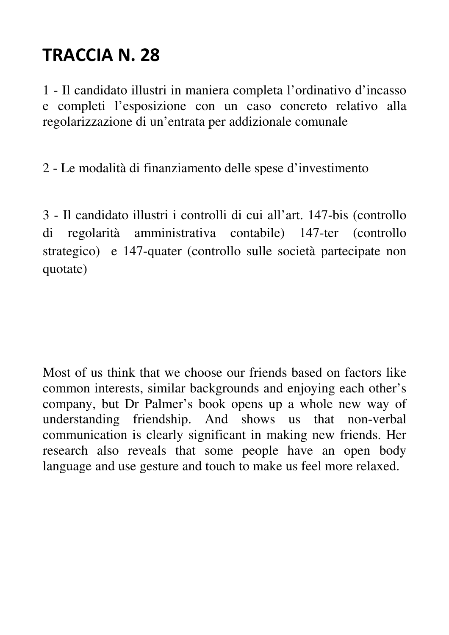1 - Il candidato illustri in maniera completa l'ordinativo d'incasso e completi l'esposizione con un caso concreto relativo alla regolarizzazione di un'entrata per addizionale comunale

2 - Le modalità di finanziamento delle spese d'investimento

3 - Il candidato illustri i controlli di cui all'art. 147-bis (controllo di regolarità amministrativa contabile) 147-ter (controllo strategico) e 147-quater (controllo sulle società partecipate non quotate)

Most of us think that we choose our friends based on factors like common interests, similar backgrounds and enjoying each other's company, but Dr Palmer's book opens up a whole new way of understanding friendship. And shows us that non-verbal communication is clearly significant in making new friends. Her research also reveals that some people have an open body language and use gesture and touch to make us feel more relaxed.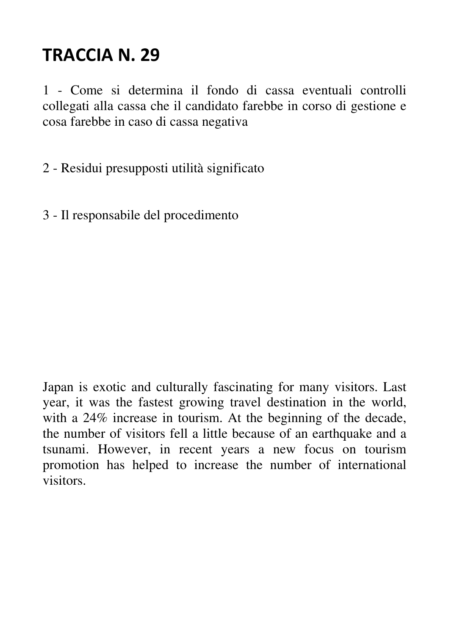1 - Come si determina il fondo di cassa eventuali controlli collegati alla cassa che il candidato farebbe in corso di gestione e cosa farebbe in caso di cassa negativa

2 - Residui presupposti utilità significato

3 - Il responsabile del procedimento

Japan is exotic and culturally fascinating for many visitors. Last year, it was the fastest growing travel destination in the world, with a 24% increase in tourism. At the beginning of the decade, the number of visitors fell a little because of an earthquake and a tsunami. However, in recent years a new focus on tourism promotion has helped to increase the number of international visitors.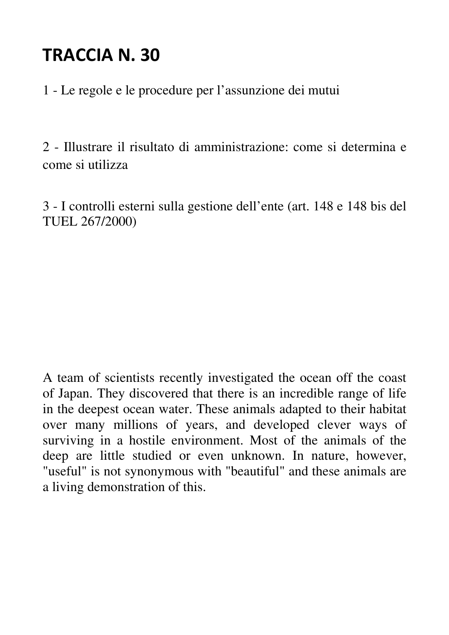1 - Le regole e le procedure per l'assunzione dei mutui

2 - Illustrare il risultato di amministrazione: come si determina e come si utilizza

3 - I controlli esterni sulla gestione dell'ente (art. 148 e 148 bis del TUEL 267/2000)

A team of scientists recently investigated the ocean off the coast of Japan. They discovered that there is an incredible range of life in the deepest ocean water. These animals adapted to their habitat over many millions of years, and developed clever ways of surviving in a hostile environment. Most of the animals of the deep are little studied or even unknown. In nature, however, "useful" is not synonymous with "beautiful" and these animals are a living demonstration of this.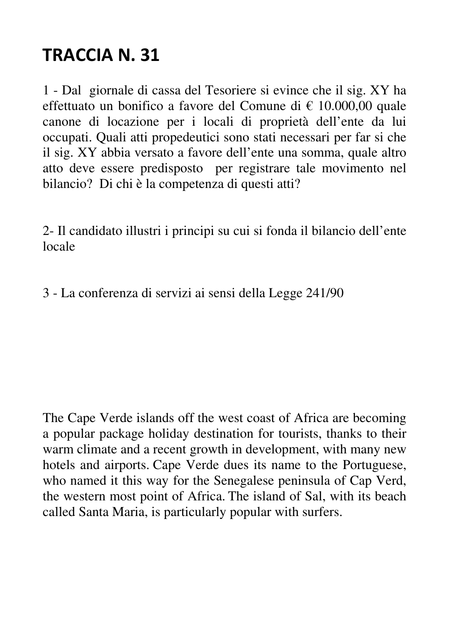1 - Dal giornale di cassa del Tesoriere si evince che il sig. XY ha effettuato un bonifico a favore del Comune di € 10.000,00 quale canone di locazione per i locali di proprietà dell'ente da lui occupati. Quali atti propedeutici sono stati necessari per far si che il sig. XY abbia versato a favore dell'ente una somma, quale altro atto deve essere predisposto per registrare tale movimento nel bilancio? Di chi è la competenza di questi atti?

2- Il candidato illustri i principi su cui si fonda il bilancio dell'ente locale

3 - La conferenza di servizi ai sensi della Legge 241/90

The Cape Verde islands off the west coast of Africa are becoming a popular package holiday destination for tourists, thanks to their warm climate and a recent growth in development, with many new hotels and airports. Cape Verde dues its name to the Portuguese, who named it this way for the Senegalese peninsula of Cap Verd, the western most point of Africa. The island of Sal, with its beach called Santa Maria, is particularly popular with surfers.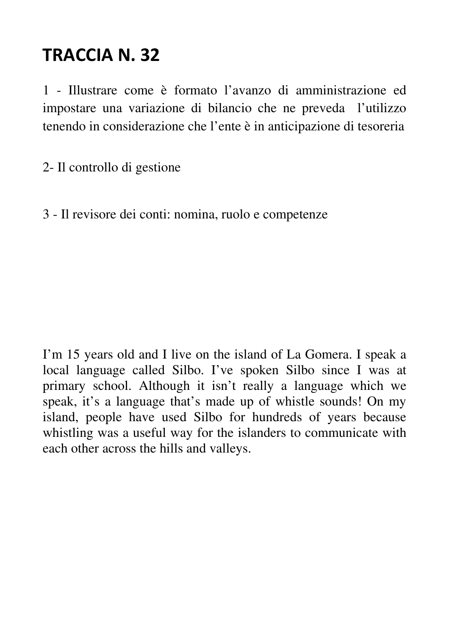1 - Illustrare come è formato l'avanzo di amministrazione ed impostare una variazione di bilancio che ne preveda l'utilizzo tenendo in considerazione che l'ente è in anticipazione di tesoreria

2- Il controllo di gestione

3 - Il revisore dei conti: nomina, ruolo e competenze

I'm 15 years old and I live on the island of La Gomera. I speak a local language called Silbo. I've spoken Silbo since I was at primary school. Although it isn't really a language which we speak, it's a language that's made up of whistle sounds! On my island, people have used Silbo for hundreds of years because whistling was a useful way for the islanders to communicate with each other across the hills and valleys.